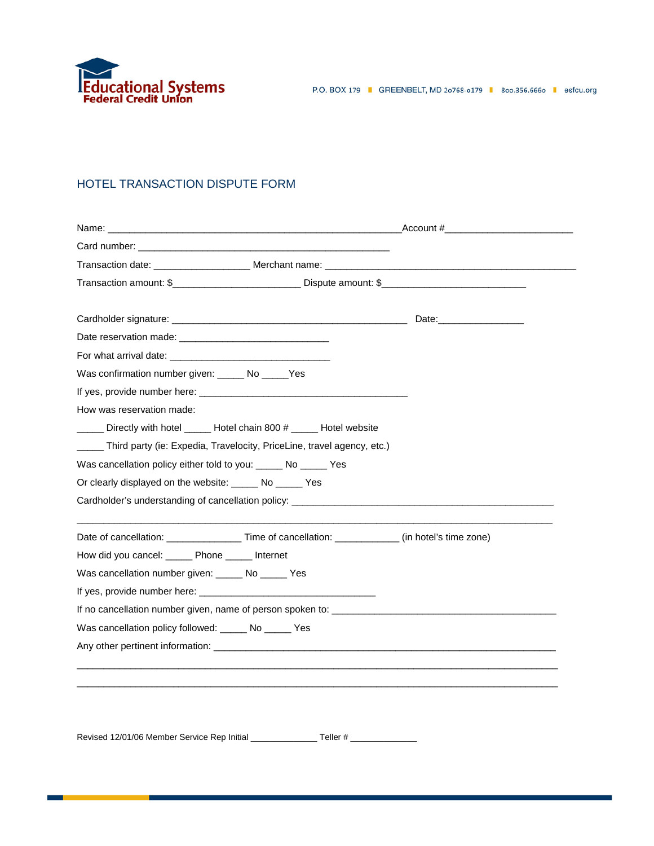

## HOTEL TRANSACTION DISPUTE FORM

|                                                                | Card number: We have a series of the contract of the contract of the contract of the contract of the contract of the contract of the contract of the contract of the contract of the contract of the contract of the contract |  |
|----------------------------------------------------------------|-------------------------------------------------------------------------------------------------------------------------------------------------------------------------------------------------------------------------------|--|
|                                                                |                                                                                                                                                                                                                               |  |
|                                                                | Transaction amount: \$______________________________Dispute amount: \$_______________________________                                                                                                                         |  |
|                                                                |                                                                                                                                                                                                                               |  |
|                                                                |                                                                                                                                                                                                                               |  |
|                                                                |                                                                                                                                                                                                                               |  |
|                                                                |                                                                                                                                                                                                                               |  |
| Was confirmation number given: _____ No _____ Yes              |                                                                                                                                                                                                                               |  |
|                                                                |                                                                                                                                                                                                                               |  |
| How was reservation made:                                      |                                                                                                                                                                                                                               |  |
|                                                                | ____ Directly with hotel ____ Hotel chain 800 # ____ Hotel website                                                                                                                                                            |  |
|                                                                | _____ Third party (ie: Expedia, Travelocity, PriceLine, travel agency, etc.)                                                                                                                                                  |  |
| Was cancellation policy either told to you: _____ No _____ Yes |                                                                                                                                                                                                                               |  |
| Or clearly displayed on the website: ______ No _____ Yes       |                                                                                                                                                                                                                               |  |
|                                                                |                                                                                                                                                                                                                               |  |
|                                                                |                                                                                                                                                                                                                               |  |
|                                                                | Date of cancellation: ________________________Time of cancellation: ______________(in hotel's time zone)                                                                                                                      |  |
| How did you cancel: ______ Phone _____ Internet                |                                                                                                                                                                                                                               |  |
| Was cancellation number given: ______ No ______ Yes            |                                                                                                                                                                                                                               |  |
|                                                                |                                                                                                                                                                                                                               |  |
|                                                                |                                                                                                                                                                                                                               |  |
| Was cancellation policy followed: _____ No _____ Yes           |                                                                                                                                                                                                                               |  |
|                                                                |                                                                                                                                                                                                                               |  |
|                                                                |                                                                                                                                                                                                                               |  |
|                                                                |                                                                                                                                                                                                                               |  |
|                                                                |                                                                                                                                                                                                                               |  |

Revised 12/01/06 Member Service Rep Initial \_\_\_\_\_\_\_\_\_\_\_\_\_\_ Teller # \_\_\_\_\_\_\_\_\_\_\_\_\_\_